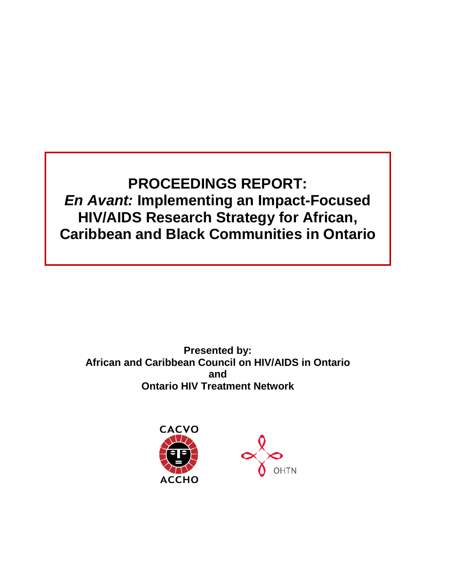**PROCEEDINGS REPORT:** *En Avant:* **Implementing an Impact-Focused HIV/AIDS Research Strategy for African, Caribbean and Black Communities in Ontario**

**Presented by: African and Caribbean Council on HIV/AIDS in Ontario and Ontario HIV Treatment Network**



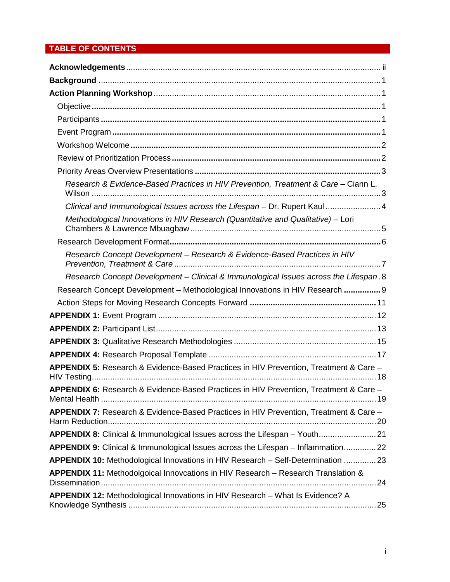# **TABLE OF CONTENTS**

| Research & Evidence-Based Practices in HIV Prevention, Treatment & Care - Ciann L.    |
|---------------------------------------------------------------------------------------|
| Clinical and Immunological Issues across the Lifespan - Dr. Rupert Kaul 4             |
| Methodological Innovations in HIV Research (Quantitative and Qualitative) - Lori      |
|                                                                                       |
| Research Concept Development - Research & Evidence-Based Practices in HIV             |
| Research Concept Development - Clinical & Immunological Issues across the Lifespan. 8 |
| Research Concept Development - Methodological Innovations in HIV Research  9          |
|                                                                                       |
|                                                                                       |
|                                                                                       |
|                                                                                       |
|                                                                                       |
| APPENDIX 5: Research & Evidence-Based Practices in HIV Prevention, Treatment & Care - |
| APPENDIX 6: Research & Evidence-Based Practices in HIV Prevention, Treatment & Care - |
| APPENDIX 7: Research & Evidence-Based Practices in HIV Prevention, Treatment & Care - |
| APPENDIX 8: Clinical & Immunological Issues across the Lifespan - Youth 21            |
| APPENDIX 9: Clinical & Immunological Issues across the Lifespan - Inflammation 22     |
| APPENDIX 10: Methodological Innovations in HIV Research - Self-Determination  23      |
| APPENDIX 11: Methodolgoical Innovcations in HIV Research - Research Translation &     |
| APPENDIX 12: Methodological Innovations in HIV Research - What Is Evidence? A         |
|                                                                                       |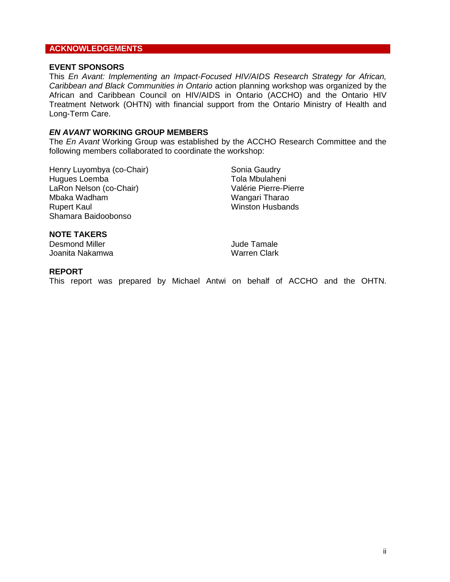## <span id="page-2-0"></span>**ACKNOWLEDGEMENTS**

#### **EVENT SPONSORS**

This *En Avant: Implementing an Impact-Focused HIV/AIDS Research Strategy for African, Caribbean and Black Communities in Ontario* action planning workshop was organized by the African and Caribbean Council on HIV/AIDS in Ontario (ACCHO) and the Ontario HIV Treatment Network (OHTN) with financial support from the Ontario Ministry of Health and Long-Term Care.

#### *EN AVANT* **WORKING GROUP MEMBERS**

The *En Avant* Working Group was established by the ACCHO Research Committee and the following members collaborated to coordinate the workshop:

Henry Luyombya (co-Chair) Hugues Loemba LaRon Nelson (co-Chair) Mbaka Wadham Rupert Kaul Shamara Baidoobonso

Sonia Gaudry Tola Mbulaheni Valérie Pierre-Pierre Wangari Tharao Winston Husbands

# **NOTE TAKERS**

Desmond Miller Joanita Nakamwa Jude Tamale Warren Clark

#### **REPORT**

This report was prepared by Michael Antwi on behalf of ACCHO and the OHTN.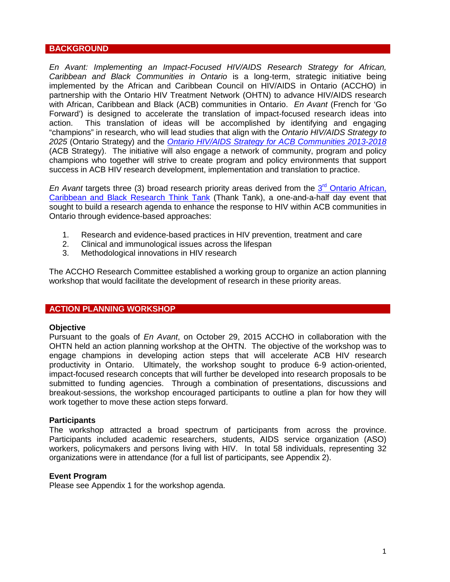#### <span id="page-3-0"></span>**BACKGROUND**

*En Avant: Implementing an Impact-Focused HIV/AIDS Research Strategy for African, Caribbean and Black Communities in Ontario* is a long-term, strategic initiative being implemented by the African and Caribbean Council on HIV/AIDS in Ontario (ACCHO) in partnership with the Ontario HIV Treatment Network (OHTN) to advance HIV/AIDS research with African, Caribbean and Black (ACB) communities in Ontario. *En Avant* (French for 'Go Forward') is designed to accelerate the translation of impact-focused research ideas into action. This translation of ideas will be accomplished by identifying and engaging "champions" in research, who will lead studies that align with the *Ontario HIV/AIDS Strategy to 2025* (Ontario Strategy) and the *[Ontario HIV/AIDS Strategy for ACB Communities 2013-2018](http://accho.ca/Portals/3/documents/resources/ACB_Strategy_Web_Oct2013_En.pdf)* (ACB Strategy). The initiative will also engage a network of community, program and policy champions who together will strive to create program and policy environments that support success in ACB HIV research development, implementation and translation to practice.

*En Avant* targets three (3) broad research priority areas derived from the 3<sup>rd</sup> Ontario African, [Caribbean and Black Research Think Tank](http://accho.ca/Portals/3/documents/ACCHO_RTT3_Report_Final_Eng_Feb-27-2014.pdf) (Thank Tank), a one-and-a-half day event that sought to build a research agenda to enhance the response to HIV within ACB communities in Ontario through evidence-based approaches:

- 1. Research and evidence-based practices in HIV prevention, treatment and care
- 2. Clinical and immunological issues across the lifespan
- 3. Methodological innovations in HIV research

The ACCHO Research Committee established a working group to organize an action planning workshop that would facilitate the development of research in these priority areas.

#### <span id="page-3-1"></span>**ACTION PLANNING WORKSHOP**

#### <span id="page-3-2"></span>**Objective**

Pursuant to the goals of *En Avant*, on October 29, 2015 ACCHO in collaboration with the OHTN held an action planning workshop at the OHTN. The objective of the workshop was to engage champions in developing action steps that will accelerate ACB HIV research productivity in Ontario. Ultimately, the workshop sought to produce 6-9 action-oriented, impact-focused research concepts that will further be developed into research proposals to be submitted to funding agencies. Through a combination of presentations, discussions and breakout-sessions, the workshop encouraged participants to outline a plan for how they will work together to move these action steps forward.

#### <span id="page-3-3"></span>**Participants**

The workshop attracted a broad spectrum of participants from across the province. Participants included academic researchers, students, AIDS service organization (ASO) workers, policymakers and persons living with HIV. In total 58 individuals, representing 32 organizations were in attendance (for a full list of participants, see Appendix 2).

#### <span id="page-3-4"></span>**Event Program**

Please see Appendix 1 for the workshop agenda.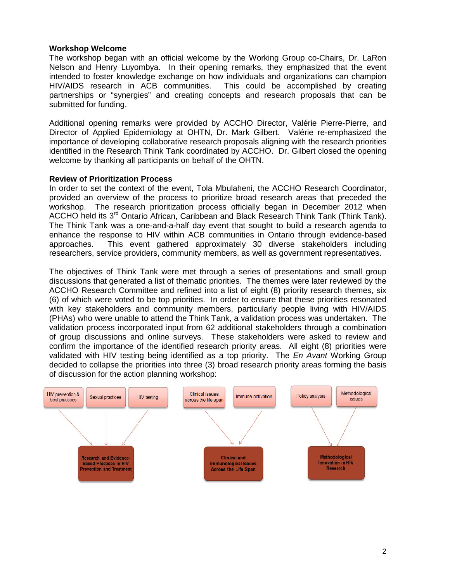## <span id="page-4-0"></span>**Workshop Welcome**

The workshop began with an official welcome by the Working Group co-Chairs, Dr. LaRon Nelson and Henry Luyombya. In their opening remarks, they emphasized that the event intended to foster knowledge exchange on how individuals and organizations can champion HIV/AIDS research in ACB communities. This could be accomplished by creating partnerships or "synergies" and creating concepts and research proposals that can be submitted for funding.

Additional opening remarks were provided by ACCHO Director, Valérie Pierre-Pierre, and Director of Applied Epidemiology at OHTN, Dr. Mark Gilbert. Valérie re-emphasized the importance of developing collaborative research proposals aligning with the research priorities identified in the Research Think Tank coordinated by ACCHO. Dr. Gilbert closed the opening welcome by thanking all participants on behalf of the OHTN.

#### <span id="page-4-1"></span>**Review of Prioritization Process**

In order to set the context of the event, Tola Mbulaheni, the ACCHO Research Coordinator, provided an overview of the process to prioritize broad research areas that preceded the workshop. The research prioritization process officially began in December 2012 when ACCHO held its  $3<sup>rd</sup>$  Ontario African, Caribbean and Black Research Think Tank (Think Tank). The Think Tank was a one-and-a-half day event that sought to build a research agenda to enhance the response to HIV within ACB communities in Ontario through evidence-based approaches. This event gathered approximately 30 diverse stakeholders including researchers, service providers, community members, as well as government representatives.

The objectives of Think Tank were met through a series of presentations and small group discussions that generated a list of thematic priorities. The themes were later reviewed by the ACCHO Research Committee and refined into a list of eight (8) priority research themes, six (6) of which were voted to be top priorities. In order to ensure that these priorities resonated with key stakeholders and community members, particularly people living with HIV/AIDS (PHAs) who were unable to attend the Think Tank, a validation process was undertaken. The validation process incorporated input from 62 additional stakeholders through a combination of group discussions and online surveys. These stakeholders were asked to review and confirm the importance of the identified research priority areas. All eight (8) priorities were validated with HIV testing being identified as a top priority. The *En Avant* Working Group decided to collapse the priorities into three (3) broad research priority areas forming the basis of discussion for the action planning workshop:

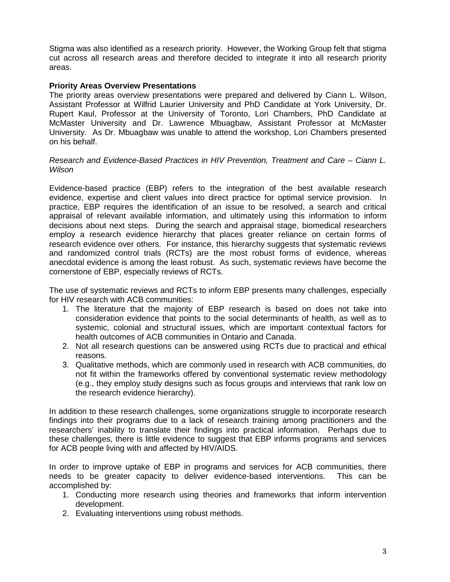Stigma was also identified as a research priority. However, the Working Group felt that stigma cut across all research areas and therefore decided to integrate it into all research priority areas.

#### <span id="page-5-0"></span>**Priority Areas Overview Presentations**

The priority areas overview presentations were prepared and delivered by Ciann L. Wilson, Assistant Professor at Wilfrid Laurier University and PhD Candidate at York University, Dr. Rupert Kaul, Professor at the University of Toronto, Lori Chambers, PhD Candidate at McMaster University and Dr. Lawrence Mbuagbaw, Assistant Professor at McMaster University. As Dr. Mbuagbaw was unable to attend the workshop, Lori Chambers presented on his behalf.

#### <span id="page-5-1"></span>*Research and Evidence-Based Practices in HIV Prevention, Treatment and Care – Ciann L. Wilson*

Evidence-based practice (EBP) refers to the integration of the best available research evidence, expertise and client values into direct practice for optimal service provision. In practice, EBP requires the identification of an issue to be resolved, a search and critical appraisal of relevant available information, and ultimately using this information to inform decisions about next steps. During the search and appraisal stage, biomedical researchers employ a research evidence hierarchy that places greater reliance on certain forms of research evidence over others. For instance, this hierarchy suggests that systematic reviews and randomized control trials (RCTs) are the most robust forms of evidence, whereas anecdotal evidence is among the least robust. As such, systematic reviews have become the cornerstone of EBP, especially reviews of RCTs.

The use of systematic reviews and RCTs to inform EBP presents many challenges, especially for HIV research with ACB communities:

- 1. The literature that the majority of EBP research is based on does not take into consideration evidence that points to the social determinants of health, as well as to systemic, colonial and structural issues, which are important contextual factors for health outcomes of ACB communities in Ontario and Canada.
- 2. Not all research questions can be answered using RCTs due to practical and ethical reasons.
- 3. Qualitative methods, which are commonly used in research with ACB communities, do not fit within the frameworks offered by conventional systematic review methodology (e.g., they employ study designs such as focus groups and interviews that rank low on the research evidence hierarchy).

In addition to these research challenges, some organizations struggle to incorporate research findings into their programs due to a lack of research training among practitioners and the researchers' inability to translate their findings into practical information. Perhaps due to these challenges, there is little evidence to suggest that EBP informs programs and services for ACB people living with and affected by HIV/AIDS.

In order to improve uptake of EBP in programs and services for ACB communities, there needs to be greater capacity to deliver evidence-based interventions. This can be accomplished by:

- 1. Conducting more research using theories and frameworks that inform intervention development.
- 2. Evaluating interventions using robust methods.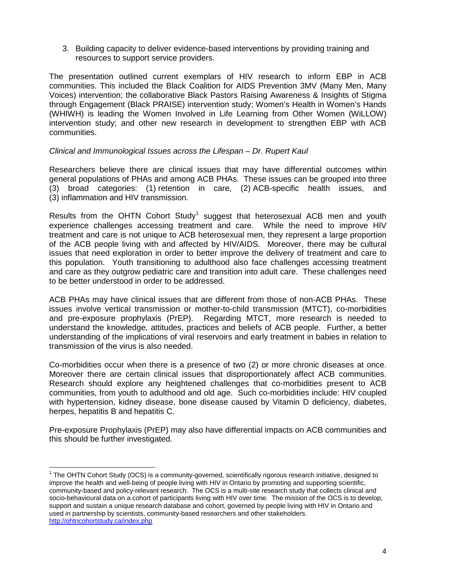3. Building capacity to deliver evidence-based interventions by providing training and resources to support service providers.

The presentation outlined current exemplars of HIV research to inform EBP in ACB communities. This included the Black Coalition for AIDS Prevention 3MV (Many Men, Many Voices) intervention; the collaborative Black Pastors Raising Awareness & Insights of Stigma through Engagement (Black PRAISE) intervention study; Women's Health in Women's Hands (WHIWH) is leading the Women Involved in Life Learning from Other Women (WiLLOW) intervention study; and other new research in development to strengthen EBP with ACB communities.

#### <span id="page-6-0"></span>*Clinical and Immunological Issues across the Lifespan – Dr. Rupert Kaul*

Researchers believe there are clinical issues that may have differential outcomes within general populations of PHAs and among ACB PHAs. These issues can be grouped into three (3) broad categories: (1) retention in care, (2) ACB-specific health issues, and (3) inflammation and HIV transmission.

Results from the OHTN Cohort Study<sup>[1](#page-6-1)</sup> suggest that heterosexual ACB men and youth experience challenges accessing treatment and care. While the need to improve HIV treatment and care is not unique to ACB heterosexual men, they represent a large proportion of the ACB people living with and affected by HIV/AIDS. Moreover, there may be cultural issues that need exploration in order to better improve the delivery of treatment and care to this population. Youth transitioning to adulthood also face challenges accessing treatment and care as they outgrow pediatric care and transition into adult care. These challenges need to be better understood in order to be addressed.

ACB PHAs may have clinical issues that are different from those of non-ACB PHAs. These issues involve vertical transmission or mother-to-child transmission (MTCT), co-morbidities and pre-exposure prophylaxis (PrEP). Regarding MTCT, more research is needed to understand the knowledge, attitudes, practices and beliefs of ACB people. Further, a better understanding of the implications of viral reservoirs and early treatment in babies in relation to transmission of the virus is also needed.

Co-morbidities occur when there is a presence of two (2) or more chronic diseases at once. Moreover there are certain clinical issues that disproportionately affect ACB communities. Research should explore any heightened challenges that co-morbidities present to ACB communities, from youth to adulthood and old age. Such co-morbidities include: HIV coupled with hypertension, kidney disease, bone disease caused by Vitamin D deficiency, diabetes, herpes, hepatitis B and hepatitis C.

Pre-exposure Prophylaxis (PrEP) may also have differential impacts on ACB communities and this should be further investigated.

<span id="page-6-1"></span> $1$  The OHTN Cohort Study (OCS) is a community-governed, scientifically rigorous research initiative, designed to improve the health and well-being of people living with HIV in Ontario by promoting and supporting scientific, community-based and policy-relevant research. The OCS is a multi-site research study that collects clinical and socio-behavioural data on a cohort of participants living with HIV over time. The mission of the OCS is to develop, support and sustain a unique research database and cohort, governed by people living with HIV in Ontario and used in partnership by scientists, community-based researchers and other stakeholders. <http://ohtncohortstudy.ca/index.php>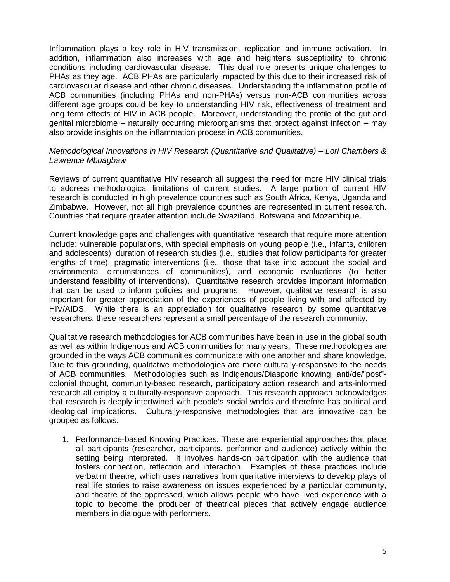Inflammation plays a key role in HIV transmission, replication and immune activation. In addition, inflammation also increases with age and heightens susceptibility to chronic conditions including cardiovascular disease. This dual role presents unique challenges to PHAs as they age. ACB PHAs are particularly impacted by this due to their increased risk of cardiovascular disease and other chronic diseases. Understanding the inflammation profile of ACB communities (including PHAs and non-PHAs) versus non-ACB communities across different age groups could be key to understanding HIV risk, effectiveness of treatment and long term effects of HIV in ACB people. Moreover, understanding the profile of the gut and genital microbiome – naturally occurring microorganisms that protect against infection – may also provide insights on the inflammation process in ACB communities.

#### <span id="page-7-0"></span>*Methodological Innovations in HIV Research (Quantitative and Qualitative) – Lori Chambers & Lawrence Mbuagbaw*

Reviews of current quantitative HIV research all suggest the need for more HIV clinical trials to address methodological limitations of current studies. A large portion of current HIV research is conducted in high prevalence countries such as South Africa, Kenya, Uganda and Zimbabwe. However, not all high prevalence countries are represented in current research. Countries that require greater attention include Swaziland, Botswana and Mozambique.

Current knowledge gaps and challenges with quantitative research that require more attention include: vulnerable populations, with special emphasis on young people (i.e., infants, children and adolescents), duration of research studies (i.e., studies that follow participants for greater lengths of time), pragmatic interventions (i.e., those that take into account the social and environmental circumstances of communities), and economic evaluations (to better understand feasibility of interventions). Quantitative research provides important information that can be used to inform policies and programs. However, qualitative research is also important for greater appreciation of the experiences of people living with and affected by HIV/AIDS. While there is an appreciation for qualitative research by some quantitative researchers, these researchers represent a small percentage of the research community.

Qualitative research methodologies for ACB communities have been in use in the global south as well as within Indigenous and ACB communities for many years. These methodologies are grounded in the ways ACB communities communicate with one another and share knowledge. Due to this grounding, qualitative methodologies are more culturally-responsive to the needs of ACB communities. Methodologies such as Indigenous/Diasporic knowing, anti/de/"post" colonial thought, community-based research, participatory action research and arts-informed research all employ a culturally-responsive approach. This research approach acknowledges that research is deeply intertwined with people's social worlds and therefore has political and ideological implications. Culturally-responsive methodologies that are innovative can be grouped as follows:

1. Performance-based Knowing Practices: These are experiential approaches that place all participants (researcher, participants, performer and audience) actively within the setting being interpreted. It involves hands-on participation with the audience that fosters connection, reflection and interaction. Examples of these practices include verbatim theatre, which uses narratives from qualitative interviews to develop plays of real life stories to raise awareness on issues experienced by a particular community, and theatre of the oppressed, which allows people who have lived experience with a topic to become the producer of theatrical pieces that actively engage audience members in dialogue with performers.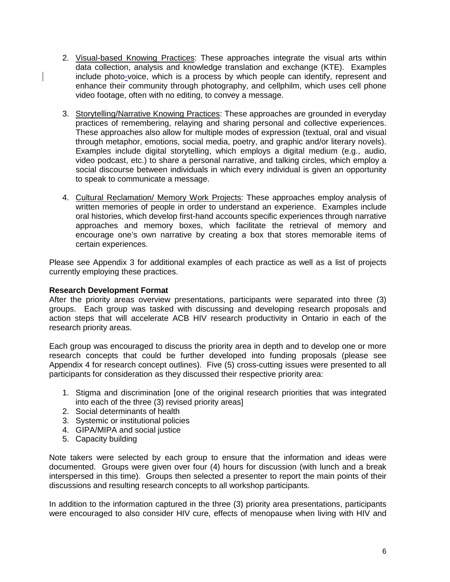- 2. Visual-based Knowing Practices: These approaches integrate the visual arts within data collection, analysis and knowledge translation and exchange (KTE). Examples include photo-voice, which is a process by which people can identify, represent and enhance their community through photography, and cellphilm, which uses cell phone video footage, often with no editing, to convey a message.
- 3. Storytelling/Narrative Knowing Practices: These approaches are grounded in everyday practices of remembering, relaying and sharing personal and collective experiences. These approaches also allow for multiple modes of expression (textual, oral and visual through metaphor, emotions, social media, poetry, and graphic and/or literary novels). Examples include digital storytelling, which employs a digital medium (e.g., audio, video podcast, etc.) to share a personal narrative, and talking circles, which employ a social discourse between individuals in which every individual is given an opportunity to speak to communicate a message.
- 4. Cultural Reclamation/ Memory Work Projects: These approaches employ analysis of written memories of people in order to understand an experience. Examples include oral histories, which develop first-hand accounts specific experiences through narrative approaches and memory boxes, which facilitate the retrieval of memory and encourage one's own narrative by creating a box that stores memorable items of certain experiences.

Please see Appendix 3 for additional examples of each practice as well as a list of projects currently employing these practices.

#### <span id="page-8-0"></span>**Research Development Format**

After the priority areas overview presentations, participants were separated into three (3) groups. Each group was tasked with discussing and developing research proposals and action steps that will accelerate ACB HIV research productivity in Ontario in each of the research priority areas.

Each group was encouraged to discuss the priority area in depth and to develop one or more research concepts that could be further developed into funding proposals (please see Appendix 4 for research concept outlines). Five (5) cross-cutting issues were presented to all participants for consideration as they discussed their respective priority area:

- 1. Stigma and discrimination [one of the original research priorities that was integrated into each of the three (3) revised priority areas]
- 2. Social determinants of health
- 3. Systemic or institutional policies
- 4. GIPA/MIPA and social justice
- 5. Capacity building

Note takers were selected by each group to ensure that the information and ideas were documented. Groups were given over four (4) hours for discussion (with lunch and a break interspersed in this time). Groups then selected a presenter to report the main points of their discussions and resulting research concepts to all workshop participants.

In addition to the information captured in the three (3) priority area presentations, participants were encouraged to also consider HIV cure, effects of menopause when living with HIV and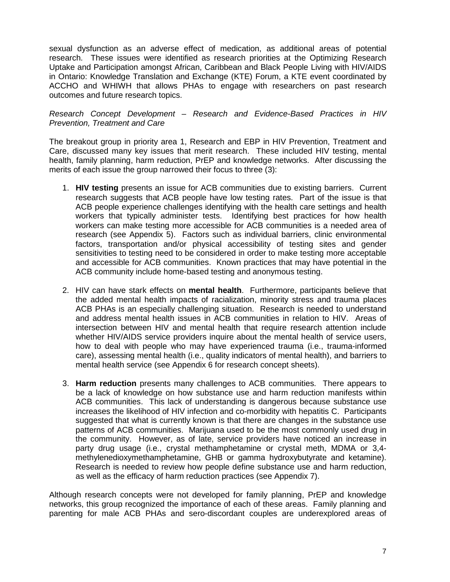sexual dysfunction as an adverse effect of medication, as additional areas of potential research. These issues were identified as research priorities at the Optimizing Research Uptake and Participation amongst African, Caribbean and Black People Living with HIV/AIDS in Ontario: Knowledge Translation and Exchange (KTE) Forum, a KTE event coordinated by ACCHO and WHIWH that allows PHAs to engage with researchers on past research outcomes and future research topics.

#### <span id="page-9-0"></span>*Research Concept Development – Research and Evidence-Based Practices in HIV Prevention, Treatment and Care*

The breakout group in priority area 1, Research and EBP in HIV Prevention, Treatment and Care, discussed many key issues that merit research. These included HIV testing, mental health, family planning, harm reduction, PrEP and knowledge networks. After discussing the merits of each issue the group narrowed their focus to three (3):

- 1. **HIV testing** presents an issue for ACB communities due to existing barriers. Current research suggests that ACB people have low testing rates. Part of the issue is that ACB people experience challenges identifying with the health care settings and health workers that typically administer tests. Identifying best practices for how health workers can make testing more accessible for ACB communities is a needed area of research (see Appendix 5). Factors such as individual barriers, clinic environmental factors, transportation and/or physical accessibility of testing sites and gender sensitivities to testing need to be considered in order to make testing more acceptable and accessible for ACB communities. Known practices that may have potential in the ACB community include home-based testing and anonymous testing.
- 2. HIV can have stark effects on **mental health**. Furthermore, participants believe that the added mental health impacts of racialization, minority stress and trauma places ACB PHAs is an especially challenging situation. Research is needed to understand and address mental health issues in ACB communities in relation to HIV. Areas of intersection between HIV and mental health that require research attention include whether HIV/AIDS service providers inquire about the mental health of service users, how to deal with people who may have experienced trauma (i.e., trauma-informed care), assessing mental health (i.e., quality indicators of mental health), and barriers to mental health service (see Appendix 6 for research concept sheets).
- 3. **Harm reduction** presents many challenges to ACB communities. There appears to be a lack of knowledge on how substance use and harm reduction manifests within ACB communities. This lack of understanding is dangerous because substance use increases the likelihood of HIV infection and co-morbidity with hepatitis C. Participants suggested that what is currently known is that there are changes in the substance use patterns of ACB communities. Marijuana used to be the most commonly used drug in the community. However, as of late, service providers have noticed an increase in party drug usage (i.e., crystal methamphetamine or crystal meth, MDMA or 3,4 methylenedioxymethamphetamine, GHB or gamma hydroxybutyrate and ketamine). Research is needed to review how people define substance use and harm reduction, as well as the efficacy of harm reduction practices (see Appendix 7).

Although research concepts were not developed for family planning, PrEP and knowledge networks, this group recognized the importance of each of these areas. Family planning and parenting for male ACB PHAs and sero-discordant couples are underexplored areas of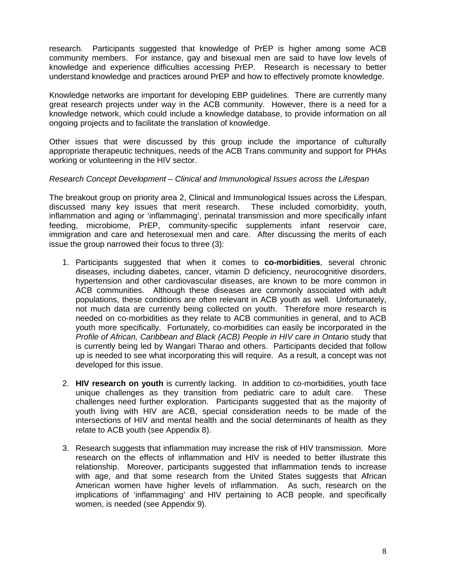research. Participants suggested that knowledge of PrEP is higher among some ACB community members. For instance, gay and bisexual men are said to have low levels of knowledge and experience difficulties accessing PrEP. Research is necessary to better understand knowledge and practices around PrEP and how to effectively promote knowledge.

Knowledge networks are important for developing EBP guidelines. There are currently many great research projects under way in the ACB community. However, there is a need for a knowledge network, which could include a knowledge database, to provide information on all ongoing projects and to facilitate the translation of knowledge.

Other issues that were discussed by this group include the importance of culturally appropriate therapeutic techniques, needs of the ACB Trans community and support for PHAs working or volunteering in the HIV sector.

#### <span id="page-10-0"></span>*Research Concept Development – Clinical and Immunological Issues across the Lifespan*

The breakout group on priority area 2, Clinical and Immunological Issues across the Lifespan, discussed many key issues that merit research. These included comorbidity, youth, inflammation and aging or 'inflammaging', perinatal transmission and more specifically infant feeding, microbiome, PrEP, community-specific supplements infant reservoir care, immigration and care and heterosexual men and care. After discussing the merits of each issue the group narrowed their focus to three (3):

- 1. Participants suggested that when it comes to **co-morbidities**, several chronic diseases, including diabetes, cancer, vitamin D deficiency, neurocognitive disorders, hypertension and other cardiovascular diseases, are known to be more common in ACB communities. Although these diseases are commonly associated with adult populations, these conditions are often relevant in ACB youth as well. Unfortunately, not much data are currently being collected on youth. Therefore more research is needed on co-morbidities as they relate to ACB communities in general, and to ACB youth more specifically. Fortunately, co-morbidities can easily be incorporated in the *Profile of African, Caribbean and Black (ACB) People in HIV care in Ontario* study that is currently being led by Wangari Tharao and others. Participants decided that follow up is needed to see what incorporating this will require. As a result, a concept was not developed for this issue.
- 2. **HIV research on youth** is currently lacking. In addition to co-morbidities, youth face unique challenges as they transition from pediatric care to adult care. These challenges need further exploration. Participants suggested that as the majority of youth living with HIV are ACB, special consideration needs to be made of the intersections of HIV and mental health and the social determinants of health as they relate to ACB youth (see Appendix 8).
- 3. Research suggests that inflammation may increase the risk of HIV transmission. More research on the effects of inflammation and HIV is needed to better illustrate this relationship. Moreover, participants suggested that inflammation tends to increase with age, and that some research from the United States suggests that African American women have higher levels of inflammation. As such, research on the implications of 'inflammaging' and HIV pertaining to ACB people, and specifically women, is needed (see Appendix 9).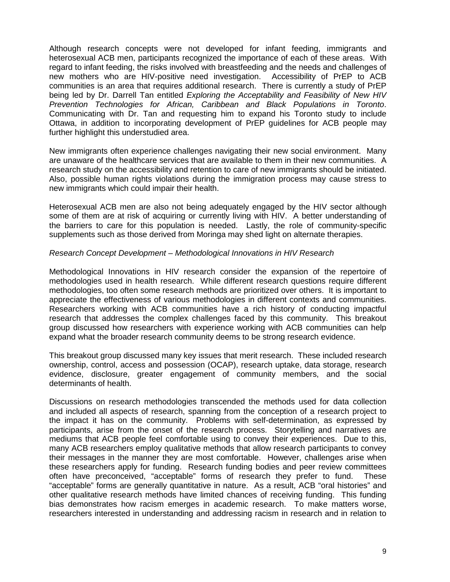Although research concepts were not developed for infant feeding, immigrants and heterosexual ACB men, participants recognized the importance of each of these areas. With regard to infant feeding, the risks involved with breastfeeding and the needs and challenges of new mothers who are HIV-positive need investigation. Accessibility of PrEP to ACB communities is an area that requires additional research. There is currently a study of PrEP being led by Dr. Darrell Tan entitled *Exploring the Acceptability and Feasibility of New HIV Prevention Technologies for African, Caribbean and Black Populations in Toronto*. Communicating with Dr. Tan and requesting him to expand his Toronto study to include Ottawa, in addition to incorporating development of PrEP guidelines for ACB people may further highlight this understudied area.

New immigrants often experience challenges navigating their new social environment. Many are unaware of the healthcare services that are available to them in their new communities. A research study on the accessibility and retention to care of new immigrants should be initiated. Also, possible human rights violations during the immigration process may cause stress to new immigrants which could impair their health.

Heterosexual ACB men are also not being adequately engaged by the HIV sector although some of them are at risk of acquiring or currently living with HIV. A better understanding of the barriers to care for this population is needed. Lastly, the role of community-specific supplements such as those derived from Moringa may shed light on alternate therapies.

#### <span id="page-11-0"></span>*Research Concept Development – Methodological Innovations in HIV Research*

Methodological Innovations in HIV research consider the expansion of the repertoire of methodologies used in health research. While different research questions require different methodologies, too often some research methods are prioritized over others. It is important to appreciate the effectiveness of various methodologies in different contexts and communities. Researchers working with ACB communities have a rich history of conducting impactful research that addresses the complex challenges faced by this community. This breakout group discussed how researchers with experience working with ACB communities can help expand what the broader research community deems to be strong research evidence.

This breakout group discussed many key issues that merit research. These included research ownership, control, access and possession (OCAP), research uptake, data storage, research evidence, disclosure, greater engagement of community members, and the social determinants of health.

Discussions on research methodologies transcended the methods used for data collection and included all aspects of research, spanning from the conception of a research project to the impact it has on the community. Problems with self-determination, as expressed by participants, arise from the onset of the research process. Storytelling and narratives are mediums that ACB people feel comfortable using to convey their experiences. Due to this, many ACB researchers employ qualitative methods that allow research participants to convey their messages in the manner they are most comfortable. However, challenges arise when these researchers apply for funding. Research funding bodies and peer review committees often have preconceived, "acceptable" forms of research they prefer to fund. These "acceptable" forms are generally quantitative in nature. As a result, ACB "oral histories" and other qualitative research methods have limited chances of receiving funding. This funding bias demonstrates how racism emerges in academic research. To make matters worse, researchers interested in understanding and addressing racism in research and in relation to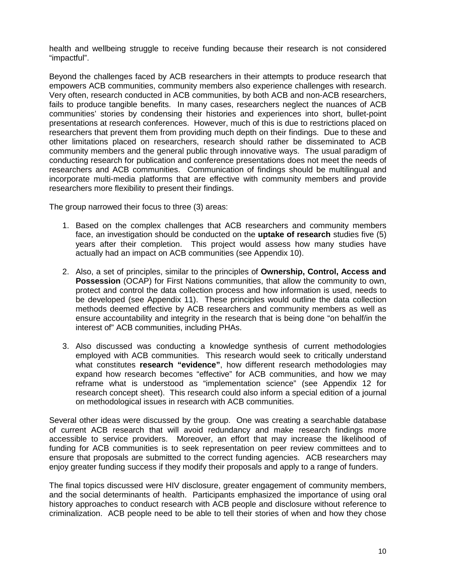health and wellbeing struggle to receive funding because their research is not considered "impactful".

Beyond the challenges faced by ACB researchers in their attempts to produce research that empowers ACB communities, community members also experience challenges with research. Very often, research conducted in ACB communities, by both ACB and non-ACB researchers, fails to produce tangible benefits. In many cases, researchers neglect the nuances of ACB communities' stories by condensing their histories and experiences into short, bullet-point presentations at research conferences. However, much of this is due to restrictions placed on researchers that prevent them from providing much depth on their findings. Due to these and other limitations placed on researchers, research should rather be disseminated to ACB community members and the general public through innovative ways. The usual paradigm of conducting research for publication and conference presentations does not meet the needs of researchers and ACB communities. Communication of findings should be multilingual and incorporate multi-media platforms that are effective with community members and provide researchers more flexibility to present their findings.

The group narrowed their focus to three (3) areas:

- 1. Based on the complex challenges that ACB researchers and community members face, an investigation should be conducted on the **uptake of research** studies five (5) years after their completion. This project would assess how many studies have actually had an impact on ACB communities (see Appendix 10).
- 2. Also, a set of principles, similar to the principles of **Ownership, Control, Access and Possession** (OCAP) for First Nations communities, that allow the community to own, protect and control the data collection process and how information is used, needs to be developed (see Appendix 11). These principles would outline the data collection methods deemed effective by ACB researchers and community members as well as ensure accountability and integrity in the research that is being done "on behalf/in the interest of" ACB communities, including PHAs.
- 3. Also discussed was conducting a knowledge synthesis of current methodologies employed with ACB communities. This research would seek to critically understand what constitutes **research "evidence"**, how different research methodologies may expand how research becomes "effective" for ACB communities, and how we may reframe what is understood as "implementation science" (see Appendix 12 for research concept sheet). This research could also inform a special edition of a journal on methodological issues in research with ACB communities.

Several other ideas were discussed by the group. One was creating a searchable database of current ACB research that will avoid redundancy and make research findings more accessible to service providers. Moreover, an effort that may increase the likelihood of funding for ACB communities is to seek representation on peer review committees and to ensure that proposals are submitted to the correct funding agencies. ACB researchers may enjoy greater funding success if they modify their proposals and apply to a range of funders.

The final topics discussed were HIV disclosure, greater engagement of community members, and the social determinants of health. Participants emphasized the importance of using oral history approaches to conduct research with ACB people and disclosure without reference to criminalization. ACB people need to be able to tell their stories of when and how they chose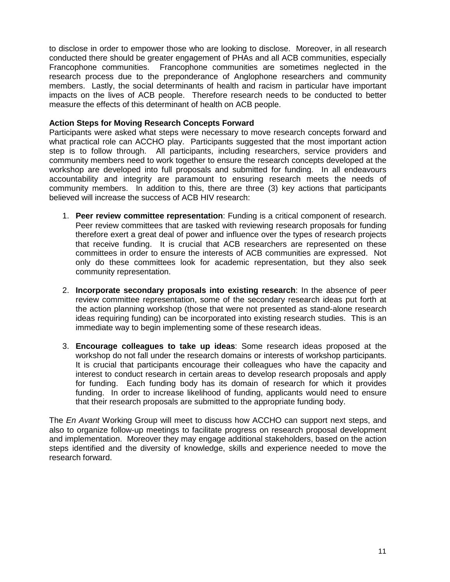to disclose in order to empower those who are looking to disclose. Moreover, in all research conducted there should be greater engagement of PHAs and all ACB communities, especially Francophone communities. Francophone communities are sometimes neglected in the research process due to the preponderance of Anglophone researchers and community members. Lastly, the social determinants of health and racism in particular have important impacts on the lives of ACB people. Therefore research needs to be conducted to better measure the effects of this determinant of health on ACB people.

#### <span id="page-13-0"></span>**Action Steps for Moving Research Concepts Forward**

Participants were asked what steps were necessary to move research concepts forward and what practical role can ACCHO play. Participants suggested that the most important action step is to follow through. All participants, including researchers, service providers and community members need to work together to ensure the research concepts developed at the workshop are developed into full proposals and submitted for funding. In all endeavours accountability and integrity are paramount to ensuring research meets the needs of community members. In addition to this, there are three (3) key actions that participants believed will increase the success of ACB HIV research:

- 1. **Peer review committee representation**: Funding is a critical component of research. Peer review committees that are tasked with reviewing research proposals for funding therefore exert a great deal of power and influence over the types of research projects that receive funding. It is crucial that ACB researchers are represented on these committees in order to ensure the interests of ACB communities are expressed. Not only do these committees look for academic representation, but they also seek community representation.
- 2. **Incorporate secondary proposals into existing research**: In the absence of peer review committee representation, some of the secondary research ideas put forth at the action planning workshop (those that were not presented as stand-alone research ideas requiring funding) can be incorporated into existing research studies. This is an immediate way to begin implementing some of these research ideas.
- 3. **Encourage colleagues to take up ideas**: Some research ideas proposed at the workshop do not fall under the research domains or interests of workshop participants. It is crucial that participants encourage their colleagues who have the capacity and interest to conduct research in certain areas to develop research proposals and apply for funding. Each funding body has its domain of research for which it provides funding. In order to increase likelihood of funding, applicants would need to ensure that their research proposals are submitted to the appropriate funding body.

The *En Avant* Working Group will meet to discuss how ACCHO can support next steps, and also to organize follow-up meetings to facilitate progress on research proposal development and implementation. Moreover they may engage additional stakeholders, based on the action steps identified and the diversity of knowledge, skills and experience needed to move the research forward.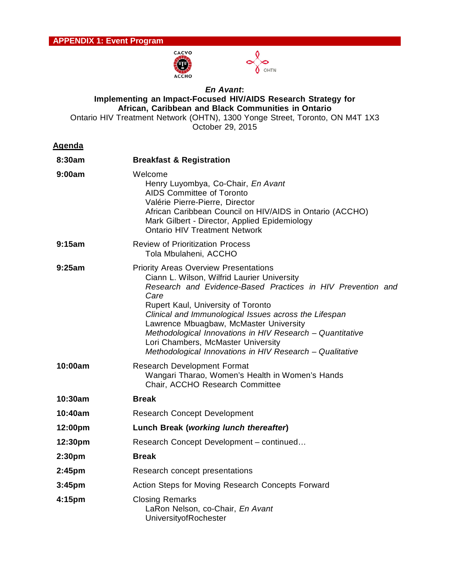



#### <span id="page-14-0"></span>*En Avant***: Implementing an Impact-Focused HIV/AIDS Research Strategy for African, Caribbean and Black Communities in Ontario** Ontario HIV Treatment Network (OHTN), 1300 Yonge Street, Toronto, ON M4T 1X3

October 29, 2015

| 8:30am             | <b>Breakfast &amp; Registration</b>                                                                                                                                                                                                                                                                                                                                                                                                                                        |
|--------------------|----------------------------------------------------------------------------------------------------------------------------------------------------------------------------------------------------------------------------------------------------------------------------------------------------------------------------------------------------------------------------------------------------------------------------------------------------------------------------|
| 9:00am             | Welcome<br>Henry Luyombya, Co-Chair, En Avant<br><b>AIDS Committee of Toronto</b><br>Valérie Pierre-Pierre, Director<br>African Caribbean Council on HIV/AIDS in Ontario (ACCHO)<br>Mark Gilbert - Director, Applied Epidemiology<br><b>Ontario HIV Treatment Network</b>                                                                                                                                                                                                  |
| 9:15am             | <b>Review of Prioritization Process</b><br>Tola Mbulaheni, ACCHO                                                                                                                                                                                                                                                                                                                                                                                                           |
| 9:25am             | <b>Priority Areas Overview Presentations</b><br>Ciann L. Wilson, Wilfrid Laurier University<br>Research and Evidence-Based Practices in HIV Prevention and<br>Care<br>Rupert Kaul, University of Toronto<br>Clinical and Immunological Issues across the Lifespan<br>Lawrence Mbuagbaw, McMaster University<br>Methodological Innovations in HIV Research - Quantitative<br>Lori Chambers, McMaster University<br>Methodological Innovations in HIV Research - Qualitative |
| 10:00am            | <b>Research Development Format</b><br>Wangari Tharao, Women's Health in Women's Hands<br>Chair, ACCHO Research Committee                                                                                                                                                                                                                                                                                                                                                   |
| 10:30am            | <b>Break</b>                                                                                                                                                                                                                                                                                                                                                                                                                                                               |
| 10:40am            | <b>Research Concept Development</b>                                                                                                                                                                                                                                                                                                                                                                                                                                        |
| 12:00pm            | Lunch Break (working lunch thereafter)                                                                                                                                                                                                                                                                                                                                                                                                                                     |
| 12:30pm            | Research Concept Development - continued                                                                                                                                                                                                                                                                                                                                                                                                                                   |
| 2:30 <sub>pm</sub> | <b>Break</b>                                                                                                                                                                                                                                                                                                                                                                                                                                                               |
| 2:45pm             | Research concept presentations                                                                                                                                                                                                                                                                                                                                                                                                                                             |
| 3:45pm             | Action Steps for Moving Research Concepts Forward                                                                                                                                                                                                                                                                                                                                                                                                                          |
| 4:15pm             | <b>Closing Remarks</b><br>LaRon Nelson, co-Chair, En Avant<br>UniversityofRochester                                                                                                                                                                                                                                                                                                                                                                                        |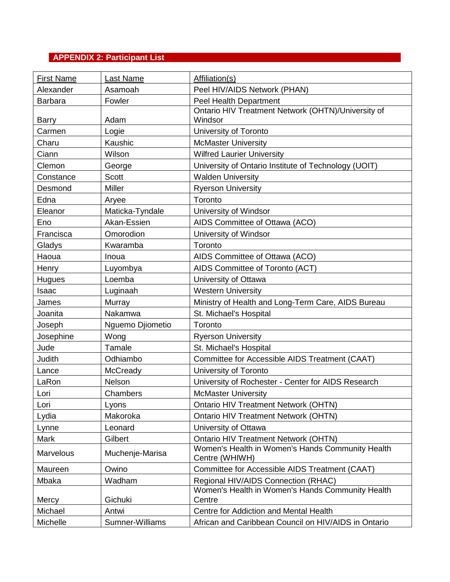# <span id="page-15-0"></span>**APPENDIX 2: Participant List**

| <b>First Name</b> | <b>Last Name</b> | Affiliation(s)                                                     |
|-------------------|------------------|--------------------------------------------------------------------|
| Alexander         | Asamoah          | Peel HIV/AIDS Network (PHAN)                                       |
| <b>Barbara</b>    | Fowler           | Peel Health Department                                             |
|                   |                  | Ontario HIV Treatment Network (OHTN)/University of                 |
| <b>Barry</b>      | Adam             | Windsor                                                            |
| Carmen            | Logie            | University of Toronto                                              |
| Charu             | Kaushic          | <b>McMaster University</b>                                         |
| Ciann             | Wilson           | <b>Wilfred Laurier University</b>                                  |
| Clemon            | George           | University of Ontario Institute of Technology (UOIT)               |
| Constance         | <b>Scott</b>     | <b>Walden University</b>                                           |
| Desmond           | <b>Miller</b>    | <b>Ryerson University</b>                                          |
| Edna              | Aryee            | Toronto                                                            |
| Eleanor           | Maticka-Tyndale  | University of Windsor                                              |
| Eno               | Akan-Essien      | AIDS Committee of Ottawa (ACO)                                     |
| Francisca         | Omorodion        | University of Windsor                                              |
| Gladys            | Kwaramba         | Toronto                                                            |
| Haoua             | Inoua            | AIDS Committee of Ottawa (ACO)                                     |
| Henry             | Luyombya         | AIDS Committee of Toronto (ACT)                                    |
| Hugues            | Loemba           | University of Ottawa                                               |
| Isaac             | Luginaah         | <b>Western University</b>                                          |
| James             | Murray           | Ministry of Health and Long-Term Care, AIDS Bureau                 |
| Joanita           | Nakamwa          | St. Michael's Hospital                                             |
| Joseph            | Nguemo Djiometio | Toronto                                                            |
| Josephine         | Wong             | <b>Ryerson University</b>                                          |
| Jude              | Tamale           | St. Michael's Hospital                                             |
| Judith            | Odhiambo         | Committee for Accessible AIDS Treatment (CAAT)                     |
| Lance             | McCready         | University of Toronto                                              |
| LaRon             | Nelson           | University of Rochester - Center for AIDS Research                 |
| Lori              | Chambers         | <b>McMaster University</b>                                         |
| Lori              | Lyons            | <b>Ontario HIV Treatment Network (OHTN)</b>                        |
| Lydia             | Makoroka         | <b>Ontario HIV Treatment Network (OHTN)</b>                        |
| Lynne             | Leonard          | University of Ottawa                                               |
| <b>Mark</b>       | Gilbert          | <b>Ontario HIV Treatment Network (OHTN)</b>                        |
| Marvelous         | Muchenje-Marisa  | Women's Health in Women's Hands Community Health<br>Centre (WHIWH) |
| Maureen           | Owino            | Committee for Accessible AIDS Treatment (CAAT)                     |
| Mbaka             | Wadham           | Regional HIV/AIDS Connection (RHAC)                                |
| Mercy             | Gichuki          | Women's Health in Women's Hands Community Health<br>Centre         |
| Michael           | Antwi            | Centre for Addiction and Mental Health                             |
|                   |                  | African and Caribbean Council on HIV/AIDS in Ontario               |
| Michelle          | Sumner-Williams  |                                                                    |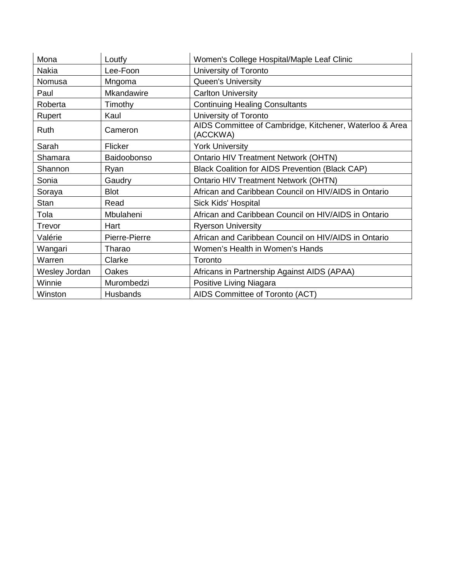| Mona          | Loutfy        | Women's College Hospital/Maple Leaf Clinic                          |
|---------------|---------------|---------------------------------------------------------------------|
| Nakia         | Lee-Foon      | University of Toronto                                               |
| Nomusa        | Mngoma        | Queen's University                                                  |
| Paul          | Mkandawire    | <b>Carlton University</b>                                           |
| Roberta       | Timothy       | <b>Continuing Healing Consultants</b>                               |
| Rupert        | Kaul          | University of Toronto                                               |
| Ruth          | Cameron       | AIDS Committee of Cambridge, Kitchener, Waterloo & Area<br>(ACCKWA) |
| Sarah         | Flicker       | <b>York University</b>                                              |
| Shamara       | Baidoobonso   | <b>Ontario HIV Treatment Network (OHTN)</b>                         |
| Shannon       | Ryan          | <b>Black Coalition for AIDS Prevention (Black CAP)</b>              |
| Sonia         | Gaudry        | <b>Ontario HIV Treatment Network (OHTN)</b>                         |
| Soraya        | <b>Blot</b>   | African and Caribbean Council on HIV/AIDS in Ontario                |
| Stan          | Read          | Sick Kids' Hospital                                                 |
| Tola          | Mbulaheni     | African and Caribbean Council on HIV/AIDS in Ontario                |
| Trevor        | Hart          | <b>Ryerson University</b>                                           |
| Valérie       | Pierre-Pierre | African and Caribbean Council on HIV/AIDS in Ontario                |
| Wangari       | Tharao        | Women's Health in Women's Hands                                     |
| Warren        | Clarke        | Toronto                                                             |
| Wesley Jordan | Oakes         | Africans in Partnership Against AIDS (APAA)                         |
| Winnie        | Murombedzi    | Positive Living Niagara                                             |
| Winston       | Husbands      | AIDS Committee of Toronto (ACT)                                     |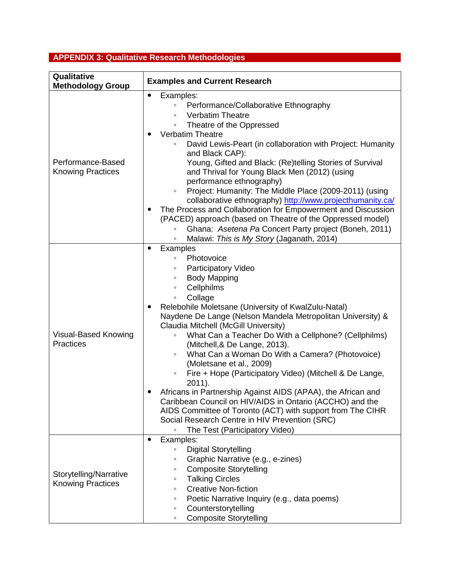# <span id="page-17-0"></span>**APPENDIX 3: Qualitative Research Methodologies**

| Qualitative                                                               | <b>Examples and Current Research</b>                                                                                                                                                                                                                                                                                                                                                                                                                                                                                                                                                                                                                                                                                                                                                                                                                                                                                                                                              |
|---------------------------------------------------------------------------|-----------------------------------------------------------------------------------------------------------------------------------------------------------------------------------------------------------------------------------------------------------------------------------------------------------------------------------------------------------------------------------------------------------------------------------------------------------------------------------------------------------------------------------------------------------------------------------------------------------------------------------------------------------------------------------------------------------------------------------------------------------------------------------------------------------------------------------------------------------------------------------------------------------------------------------------------------------------------------------|
| <b>Methodology Group</b><br>Performance-Based<br><b>Knowing Practices</b> | $\bullet$<br>Examples:<br>Performance/Collaborative Ethnography<br>$\circ$<br><b>Verbatim Theatre</b><br>$\circ$<br>Theatre of the Oppressed<br>$\circ$<br><b>Verbatim Theatre</b><br>David Lewis-Peart (in collaboration with Project: Humanity<br>and Black CAP):<br>Young, Gifted and Black: (Re)telling Stories of Survival<br>and Thrival for Young Black Men (2012) (using<br>performance ethnography)<br>Project: Humanity: The Middle Place (2009-2011) (using<br>$\circ$<br>collaborative ethnography) http://www.projecthumanity.ca/<br>The Process and Collaboration for Empowerment and Discussion<br>$\bullet$<br>(PACED) approach (based on Theatre of the Oppressed model)<br>Ghana: Asetena Pa Concert Party project (Boneh, 2011)<br>$\circ$                                                                                                                                                                                                                     |
| Visual-Based Knowing<br><b>Practices</b>                                  | Malawi: This is My Story (Jaganath, 2014)<br>$\circ$<br><b>Examples</b><br>$\bullet$<br>Photovoice<br>$\circ$<br><b>Participatory Video</b><br>$\circ$<br><b>Body Mapping</b><br>$\circ$<br>Cellphilms<br>$\circ$<br>Collage<br>$\circ$<br>Relebohile Moletsane (University of KwalZulu-Natal)<br>$\bullet$<br>Naydene De Lange (Nelson Mandela Metropolitan University) &<br>Claudia Mitchell (McGill University)<br>What Can a Teacher Do With a Cellphone? (Cellphilms)<br>$\circ$<br>(Mitchell, & De Lange, 2013).<br>What Can a Woman Do With a Camera? (Photovoice)<br>$\circ$<br>(Moletsane et al., 2009)<br>Fire + Hope (Participatory Video) (Mitchell & De Lange,<br>$\circ$<br>$2011$ ).<br>Africans in Partnership Against AIDS (APAA), the African and<br>Caribbean Council on HIV/AIDS in Ontario (ACCHO) and the<br>AIDS Committee of Toronto (ACT) with support from The CIHR<br>Social Research Centre in HIV Prevention (SRC)<br>The Test (Participatory Video) |
| Storytelling/Narrative<br><b>Knowing Practices</b>                        | Examples:<br>$\bullet$<br><b>Digital Storytelling</b><br>$\circ$<br>Graphic Narrative (e.g., e-zines)<br>$\circ$<br><b>Composite Storytelling</b><br>$\circ$<br><b>Talking Circles</b><br>$\circ$<br><b>Creative Non-fiction</b><br>$\circ$<br>Poetic Narrative Inquiry (e.g., data poems)<br>$\circ$<br>Counterstorytelling<br>$\circ$<br><b>Composite Storytelling</b><br>$\circ$                                                                                                                                                                                                                                                                                                                                                                                                                                                                                                                                                                                               |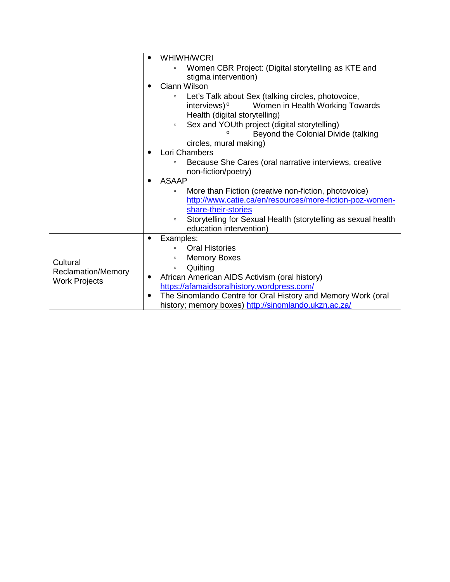| $\bullet$            | <b>WHIWH/WCRI</b>                                                                                                                                             |
|----------------------|---------------------------------------------------------------------------------------------------------------------------------------------------------------|
|                      | Women CBR Project: (Digital storytelling as KTE and<br>$\circ$<br>stigma intervention)                                                                        |
|                      | Ciann Wilson                                                                                                                                                  |
|                      | Let's Talk about Sex (talking circles, photovoice,<br>$\circ$<br>interviews) <sup>o</sup><br>Women in Health Working Towards<br>Health (digital storytelling) |
|                      | Sex and YOUth project (digital storytelling)<br>$\circ$<br>Beyond the Colonial Divide (talking                                                                |
|                      | circles, mural making)                                                                                                                                        |
|                      | Lori Chambers                                                                                                                                                 |
|                      | Because She Cares (oral narrative interviews, creative<br>non-fiction/poetry)                                                                                 |
|                      | <b>ASAAP</b>                                                                                                                                                  |
|                      | More than Fiction (creative non-fiction, photovoice)<br>$\circ$<br>http://www.catie.ca/en/resources/more-fiction-poz-women-<br>share-their-stories            |
|                      | Storytelling for Sexual Health (storytelling as sexual health<br>$\circ$<br>education intervention)                                                           |
|                      | Examples:                                                                                                                                                     |
|                      | <b>Oral Histories</b><br>$\circ$                                                                                                                              |
| Cultural             | <b>Memory Boxes</b><br>$\circ$                                                                                                                                |
| Reclamation/Memory   | Quilting<br>$\circ$                                                                                                                                           |
| <b>Work Projects</b> | African American AIDS Activism (oral history)                                                                                                                 |
|                      | https://afamaidsoralhistory.wordpress.com/                                                                                                                    |
|                      | The Sinomlando Centre for Oral History and Memory Work (oral<br>history; memory boxes) http://sinomlando.ukzn.ac.za/                                          |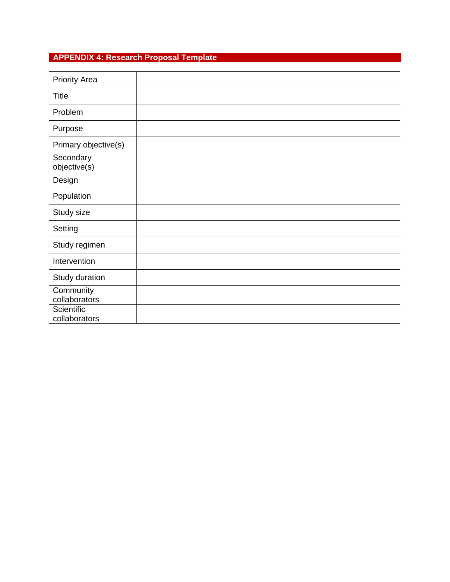# <span id="page-19-0"></span>**APPENDIX 4: Research Proposal Template**

| <b>Priority Area</b>        |  |
|-----------------------------|--|
| <b>Title</b>                |  |
| Problem                     |  |
| Purpose                     |  |
| Primary objective(s)        |  |
| Secondary<br>objective(s)   |  |
| Design                      |  |
| Population                  |  |
| Study size                  |  |
| Setting                     |  |
| Study regimen               |  |
| Intervention                |  |
| Study duration              |  |
| Community<br>collaborators  |  |
| Scientific<br>collaborators |  |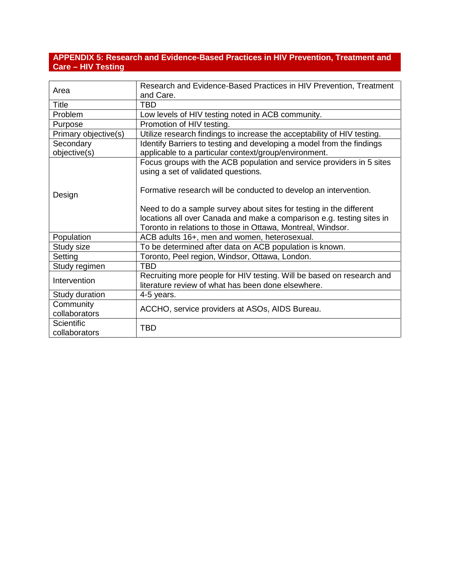## <span id="page-20-0"></span>**APPENDIX 5: Research and Evidence-Based Practices in HIV Prevention, Treatment and Care – HIV Testing**

| Area                               | Research and Evidence-Based Practices in HIV Prevention, Treatment<br>and Care.                                                                                                                             |
|------------------------------------|-------------------------------------------------------------------------------------------------------------------------------------------------------------------------------------------------------------|
| <b>Title</b>                       | TBD                                                                                                                                                                                                         |
| Problem                            | Low levels of HIV testing noted in ACB community.                                                                                                                                                           |
| Purpose                            | Promotion of HIV testing.                                                                                                                                                                                   |
| Primary objective(s)               | Utilize research findings to increase the acceptability of HIV testing.                                                                                                                                     |
| Secondary<br>objective(s)          | Identify Barriers to testing and developing a model from the findings<br>applicable to a particular context/group/environment.                                                                              |
| Design                             | Focus groups with the ACB population and service providers in 5 sites<br>using a set of validated questions.                                                                                                |
|                                    | Formative research will be conducted to develop an intervention.                                                                                                                                            |
|                                    | Need to do a sample survey about sites for testing in the different<br>locations all over Canada and make a comparison e.g. testing sites in<br>Toronto in relations to those in Ottawa, Montreal, Windsor. |
| Population                         | ACB adults 16+, men and women, heterosexual.                                                                                                                                                                |
| Study size                         | To be determined after data on ACB population is known.                                                                                                                                                     |
| Setting                            | Toronto, Peel region, Windsor, Ottawa, London.                                                                                                                                                              |
| Study regimen                      | TBD                                                                                                                                                                                                         |
| Intervention                       | Recruiting more people for HIV testing. Will be based on research and<br>literature review of what has been done elsewhere.                                                                                 |
| Study duration                     | 4-5 years.                                                                                                                                                                                                  |
| Community<br>collaborators         | ACCHO, service providers at ASOs, AIDS Bureau.                                                                                                                                                              |
| <b>Scientific</b><br>collaborators | TBD                                                                                                                                                                                                         |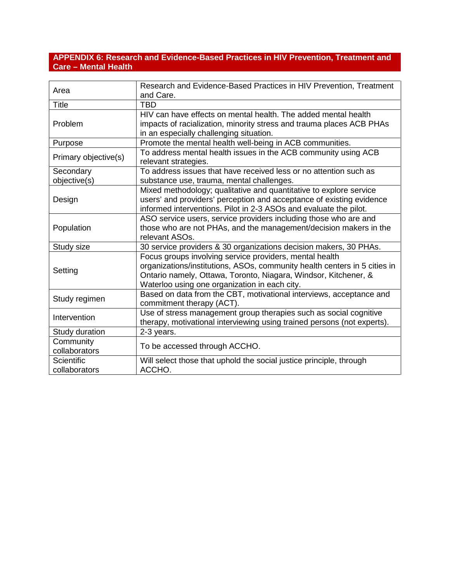## <span id="page-21-0"></span>**APPENDIX 6: Research and Evidence-Based Practices in HIV Prevention, Treatment and Care – Mental Health**

| Area                               | Research and Evidence-Based Practices in HIV Prevention, Treatment<br>and Care.                                                                                                                                                                          |
|------------------------------------|----------------------------------------------------------------------------------------------------------------------------------------------------------------------------------------------------------------------------------------------------------|
| <b>Title</b>                       | <b>TBD</b>                                                                                                                                                                                                                                               |
| Problem                            | HIV can have effects on mental health. The added mental health<br>impacts of racialization, minority stress and trauma places ACB PHAs<br>in an especially challenging situation.                                                                        |
| Purpose                            | Promote the mental health well-being in ACB communities.                                                                                                                                                                                                 |
| Primary objective(s)               | To address mental health issues in the ACB community using ACB<br>relevant strategies.                                                                                                                                                                   |
| Secondary                          | To address issues that have received less or no attention such as                                                                                                                                                                                        |
| objective(s)                       | substance use, trauma, mental challenges.                                                                                                                                                                                                                |
| Design                             | Mixed methodology; qualitative and quantitative to explore service<br>users' and providers' perception and acceptance of existing evidence<br>informed interventions. Pilot in 2-3 ASOs and evaluate the pilot.                                          |
| Population                         | ASO service users, service providers including those who are and<br>those who are not PHAs, and the management/decision makers in the<br>relevant ASOs.                                                                                                  |
| Study size                         | 30 service providers & 30 organizations decision makers, 30 PHAs.                                                                                                                                                                                        |
| Setting                            | Focus groups involving service providers, mental health<br>organizations/institutions, ASOs, community health centers in 5 cities in<br>Ontario namely, Ottawa, Toronto, Niagara, Windsor, Kitchener, &<br>Waterloo using one organization in each city. |
| Study regimen                      | Based on data from the CBT, motivational interviews, acceptance and<br>commitment therapy (ACT).                                                                                                                                                         |
| Intervention                       | Use of stress management group therapies such as social cognitive<br>therapy, motivational interviewing using trained persons (not experts).                                                                                                             |
| Study duration                     | 2-3 years.                                                                                                                                                                                                                                               |
| Community<br>collaborators         | To be accessed through ACCHO.                                                                                                                                                                                                                            |
| <b>Scientific</b><br>collaborators | Will select those that uphold the social justice principle, through<br>ACCHO.                                                                                                                                                                            |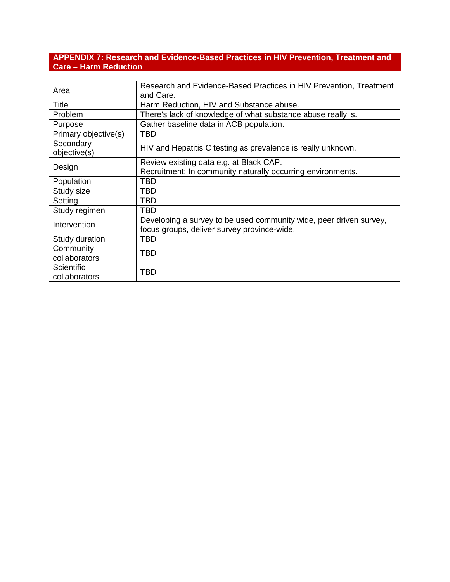## <span id="page-22-0"></span>**APPENDIX 7: Research and Evidence-Based Practices in HIV Prevention, Treatment and Care – Harm Reduction**

| Area                        | Research and Evidence-Based Practices in HIV Prevention, Treatment<br>and Care.                                   |
|-----------------------------|-------------------------------------------------------------------------------------------------------------------|
| <b>Title</b>                | Harm Reduction, HIV and Substance abuse.                                                                          |
| Problem                     | There's lack of knowledge of what substance abuse really is.                                                      |
| Purpose                     | Gather baseline data in ACB population.                                                                           |
| Primary objective(s)        | TBD                                                                                                               |
| Secondary<br>objective(s)   | HIV and Hepatitis C testing as prevalence is really unknown.                                                      |
| Design                      | Review existing data e.g. at Black CAP.<br>Recruitment: In community naturally occurring environments.            |
| Population                  | TBD                                                                                                               |
| Study size                  | TBD                                                                                                               |
| Setting                     | TBD                                                                                                               |
| Study regimen               | TBD                                                                                                               |
| Intervention                | Developing a survey to be used community wide, peer driven survey,<br>focus groups, deliver survey province-wide. |
| Study duration              | TBD                                                                                                               |
| Community<br>collaborators  | <b>TBD</b>                                                                                                        |
| Scientific<br>collaborators | <b>TBD</b>                                                                                                        |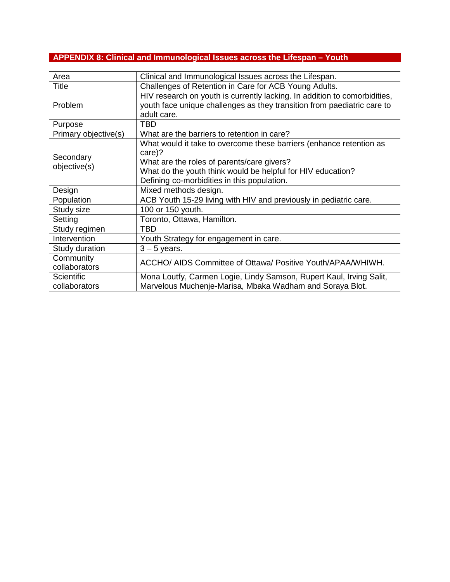# <span id="page-23-0"></span>**APPENDIX 8: Clinical and Immunological Issues across the Lifespan – Youth**

| Area                        | Clinical and Immunological Issues across the Lifespan.                                                                                                                                                                                    |
|-----------------------------|-------------------------------------------------------------------------------------------------------------------------------------------------------------------------------------------------------------------------------------------|
| Title                       | Challenges of Retention in Care for ACB Young Adults.                                                                                                                                                                                     |
| <b>Problem</b>              | HIV research on youth is currently lacking. In addition to comorbidities,<br>youth face unique challenges as they transition from paediatric care to<br>adult care.                                                                       |
| Purpose                     | TBD                                                                                                                                                                                                                                       |
| Primary objective(s)        | What are the barriers to retention in care?                                                                                                                                                                                               |
| Secondary<br>objective(s)   | What would it take to overcome these barriers (enhance retention as<br>care)?<br>What are the roles of parents/care givers?<br>What do the youth think would be helpful for HIV education?<br>Defining co-morbidities in this population. |
| Design                      | Mixed methods design.                                                                                                                                                                                                                     |
| Population                  | ACB Youth 15-29 living with HIV and previously in pediatric care.                                                                                                                                                                         |
| Study size                  | 100 or 150 youth.                                                                                                                                                                                                                         |
| Setting                     | Toronto, Ottawa, Hamilton.                                                                                                                                                                                                                |
| Study regimen               | TBD                                                                                                                                                                                                                                       |
| Intervention                | Youth Strategy for engagement in care.                                                                                                                                                                                                    |
| Study duration              | $3 - 5$ years.                                                                                                                                                                                                                            |
| Community<br>collaborators  | ACCHO/ AIDS Committee of Ottawa/ Positive Youth/APAA/WHIWH.                                                                                                                                                                               |
| Scientific<br>collaborators | Mona Loutfy, Carmen Logie, Lindy Samson, Rupert Kaul, Irving Salit,<br>Marvelous Muchenje-Marisa, Mbaka Wadham and Soraya Blot.                                                                                                           |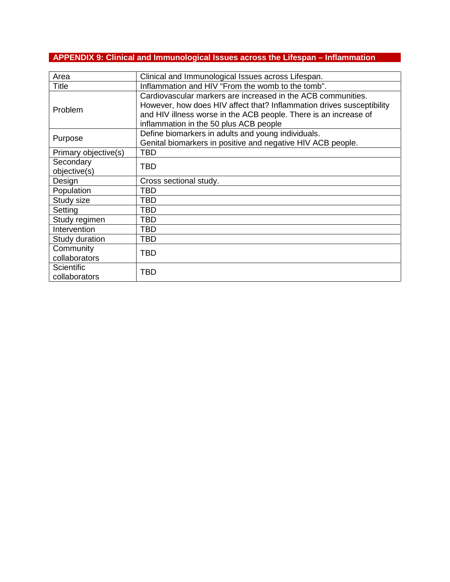# <span id="page-24-0"></span>**APPENDIX 9: Clinical and Immunological Issues across the Lifespan – Inflammation**

| Area                               | Clinical and Immunological Issues across Lifespan.                                                                                                                                                                                                  |
|------------------------------------|-----------------------------------------------------------------------------------------------------------------------------------------------------------------------------------------------------------------------------------------------------|
| Title                              | Inflammation and HIV "From the womb to the tomb".                                                                                                                                                                                                   |
| Problem                            | Cardiovascular markers are increased in the ACB communities.<br>However, how does HIV affect that? Inflammation drives susceptibility<br>and HIV illness worse in the ACB people. There is an increase of<br>inflammation in the 50 plus ACB people |
| Purpose                            | Define biomarkers in adults and young individuals.                                                                                                                                                                                                  |
|                                    | Genital biomarkers in positive and negative HIV ACB people.                                                                                                                                                                                         |
| Primary objective(s)               | <b>TBD</b>                                                                                                                                                                                                                                          |
| Secondary<br>objective(s)          | <b>TBD</b>                                                                                                                                                                                                                                          |
| Design                             | Cross sectional study.                                                                                                                                                                                                                              |
| Population                         | TBD                                                                                                                                                                                                                                                 |
| Study size                         | TBD                                                                                                                                                                                                                                                 |
| Setting                            | TBD                                                                                                                                                                                                                                                 |
| Study regimen                      | TBD                                                                                                                                                                                                                                                 |
| Intervention                       | TBD                                                                                                                                                                                                                                                 |
| Study duration                     | TBD                                                                                                                                                                                                                                                 |
| Community                          |                                                                                                                                                                                                                                                     |
| collaborators                      | <b>TBD</b>                                                                                                                                                                                                                                          |
| <b>Scientific</b><br>collaborators | TBD                                                                                                                                                                                                                                                 |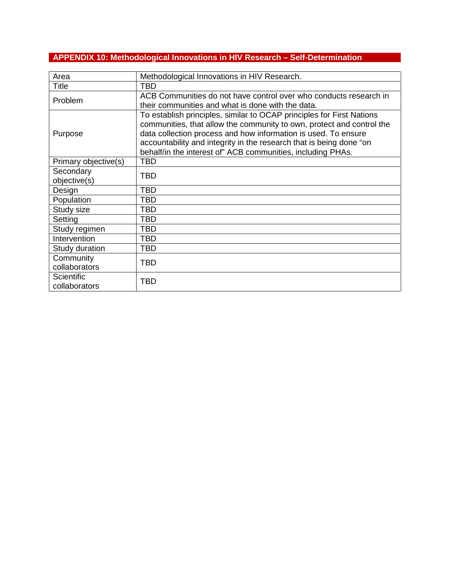# <span id="page-25-0"></span>**APPENDIX 10: Methodological Innovations in HIV Research – Self-Determination**

| Area                        | Methodological Innovations in HIV Research.                                                                                                                                                                                                                                                                                                            |
|-----------------------------|--------------------------------------------------------------------------------------------------------------------------------------------------------------------------------------------------------------------------------------------------------------------------------------------------------------------------------------------------------|
| <b>Title</b>                | <b>TBD</b>                                                                                                                                                                                                                                                                                                                                             |
| Problem                     | ACB Communities do not have control over who conducts research in<br>their communities and what is done with the data.                                                                                                                                                                                                                                 |
| Purpose                     | To establish principles, similar to OCAP principles for First Nations<br>communities, that allow the community to own, protect and control the<br>data collection process and how information is used. To ensure<br>accountability and integrity in the research that is being done "on<br>behalf/in the interest of" ACB communities, including PHAs. |
| Primary objective(s)        | <b>TBD</b>                                                                                                                                                                                                                                                                                                                                             |
| Secondary<br>objective(s)   | <b>TBD</b>                                                                                                                                                                                                                                                                                                                                             |
| Design                      | <b>TBD</b>                                                                                                                                                                                                                                                                                                                                             |
| Population                  | TBD                                                                                                                                                                                                                                                                                                                                                    |
| Study size                  | <b>TBD</b>                                                                                                                                                                                                                                                                                                                                             |
| Setting                     | <b>TBD</b>                                                                                                                                                                                                                                                                                                                                             |
| Study regimen               | TBD                                                                                                                                                                                                                                                                                                                                                    |
| Intervention                | TBD                                                                                                                                                                                                                                                                                                                                                    |
| Study duration              | <b>TBD</b>                                                                                                                                                                                                                                                                                                                                             |
| Community<br>collaborators  | <b>TBD</b>                                                                                                                                                                                                                                                                                                                                             |
| Scientific<br>collaborators | <b>TBD</b>                                                                                                                                                                                                                                                                                                                                             |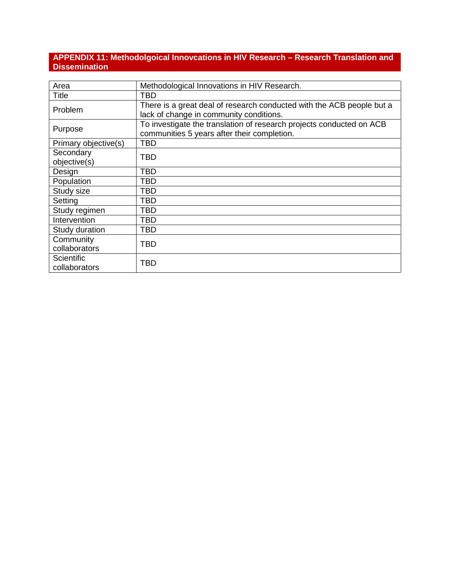# <span id="page-26-0"></span>**APPENDIX 11: Methodolgoical Innovcations in HIV Research – Research Translation and Dissemination**

| Area                               | Methodological Innovations in HIV Research.                                                                         |
|------------------------------------|---------------------------------------------------------------------------------------------------------------------|
| <b>Title</b>                       | <b>TBD</b>                                                                                                          |
| Problem                            | There is a great deal of research conducted with the ACB people but a<br>lack of change in community conditions.    |
| Purpose                            | To investigate the translation of research projects conducted on ACB<br>communities 5 years after their completion. |
| Primary objective(s)               | <b>TBD</b>                                                                                                          |
| Secondary<br>objective(s)          | <b>TBD</b>                                                                                                          |
| Design                             | TBD                                                                                                                 |
| Population                         | TBD                                                                                                                 |
| Study size                         | TBD                                                                                                                 |
| Setting                            | TBD                                                                                                                 |
| Study regimen                      | TBD                                                                                                                 |
| Intervention                       | TBD                                                                                                                 |
| Study duration                     | <b>TBD</b>                                                                                                          |
| Community<br>collaborators         | <b>TBD</b>                                                                                                          |
| <b>Scientific</b><br>collaborators | TBD                                                                                                                 |